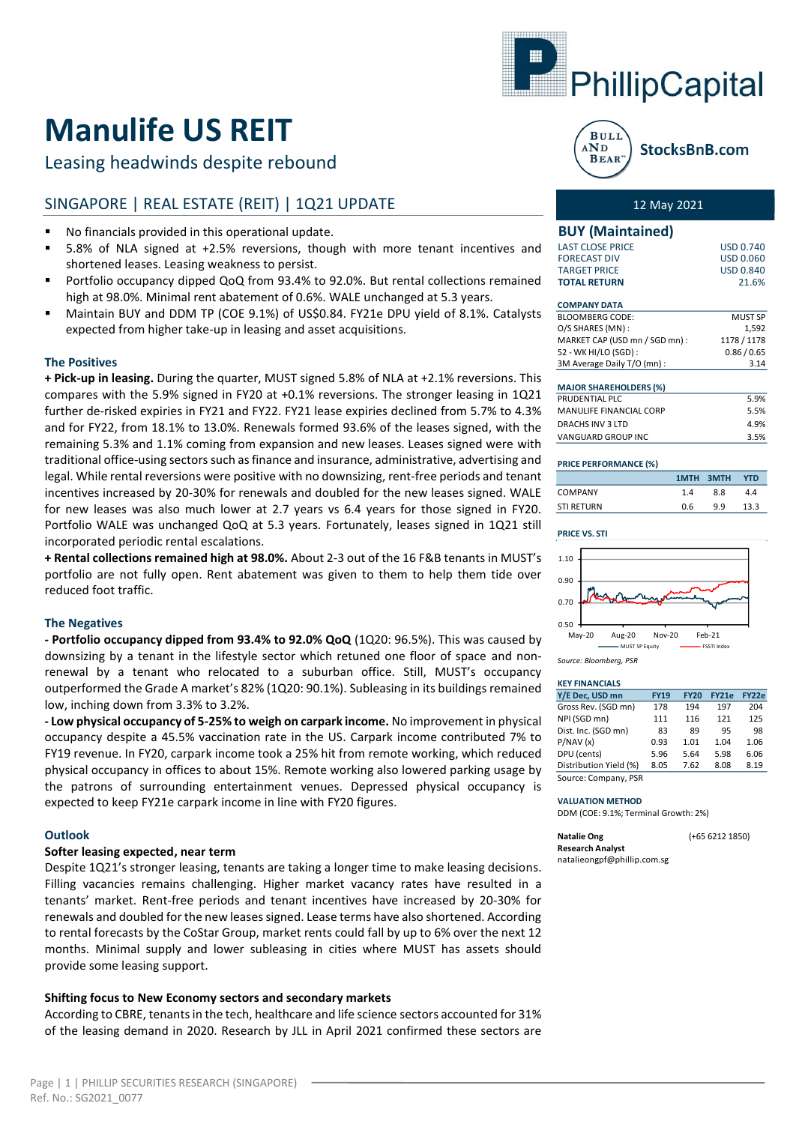

# **Manulife US REIT**

Leasing headwinds despite rebound

# SINGAPORE | REAL ESTATE (REIT) | 1Q21 UPDATE

- No financials provided in this operational update.
- 5.8% of NLA signed at +2.5% reversions, though with more tenant incentives and shortened leases. Leasing weakness to persist.
- Portfolio occupancy dipped QoQ from 93.4% to 92.0%. But rental collections remained high at 98.0%. Minimal rent abatement of 0.6%. WALE unchanged at 5.3 years.
- Maintain BUY and DDM TP (COE 9.1%) of US\$0.84. FY21e DPU yield of 8.1%. Catalysts expected from higher take-up in leasing and asset acquisitions.

### **The Positives**

**+ Pick-up in leasing.** During the quarter, MUST signed 5.8% of NLA at +2.1% reversions. This compares with the 5.9% signed in FY20 at +0.1% reversions. The stronger leasing in 1Q21 further de-risked expiries in FY21 and FY22. FY21 lease expiries declined from 5.7% to 4.3% and for FY22, from 18.1% to 13.0%. Renewals formed 93.6% of the leases signed, with the remaining 5.3% and 1.1% coming from expansion and new leases. Leases signed were with traditional office-using sectors such asfinance and insurance, administrative, advertising and legal. While rental reversions were positive with no downsizing, rent-free periods and tenant incentives increased by 20-30% for renewals and doubled for the new leases signed. WALE for new leases was also much lower at 2.7 years vs 6.4 years for those signed in FY20. Portfolio WALE was unchanged QoQ at 5.3 years. Fortunately, leases signed in 1Q21 still incorporated periodic rental escalations.

**+ Rental collections remained high at 98.0%.** About 2-3 out of the 16 F&B tenants in MUST's portfolio are not fully open. Rent abatement was given to them to help them tide over reduced foot traffic.

#### **The Negatives**

**- Portfolio occupancy dipped from 93.4% to 92.0% QoQ** (1Q20: 96.5%). This was caused by downsizing by a tenant in the lifestyle sector which retuned one floor of space and nonrenewal by a tenant who relocated to a suburban office. Still, MUST's occupancy outperformed the Grade A market's 82% (1Q20: 90.1%). Subleasing in its buildings remained low, inching down from 3.3% to 3.2%.

**- Low physical occupancy of 5-25% to weigh on carpark income.** No improvement in physical occupancy despite a 45.5% vaccination rate in the US. Carpark income contributed 7% to FY19 revenue. In FY20, carpark income took a 25% hit from remote working, which reduced physical occupancy in offices to about 15%. Remote working also lowered parking usage by the patrons of surrounding entertainment venues. Depressed physical occupancy is expected to keep FY21e carpark income in line with FY20 figures.

#### **Outlook**

### **Softer leasing expected, near term**

Despite 1Q21's stronger leasing, tenants are taking a longer time to make leasing decisions. Filling vacancies remains challenging. Higher market vacancy rates have resulted in a tenants' market. Rent-free periods and tenant incentives have increased by 20-30% for renewals and doubled for the new leases signed. Lease terms have also shortened. According to rental forecasts by the CoStar Group, market rents could fall by up to 6% over the next 12 months. Minimal supply and lower subleasing in cities where MUST has assets should provide some leasing support.

#### **Shifting focus to New Economy sectors and secondary markets**

According to CBRE, tenants in the tech, healthcare and life science sectors accounted for 31% of the leasing demand in 2020. Research by JLL in April 2021 confirmed these sectors are



StocksBnB.com

# 12 May 2021

#### **BUY (Maintained)**

| <b>TARGET PRICE</b><br><b>TOTAL RETURN</b> | USD 0.840<br>21.6% |
|--------------------------------------------|--------------------|
|                                            |                    |
| <b>FORECAST DIV</b>                        | USD 0.060          |
| LAST CLOSE PRICE                           | <b>USD 0.740</b>   |
|                                            |                    |

#### **COMPANY DATA**

| <b>BLOOMBERG CODE:</b>         | <b>MUST SP</b> |
|--------------------------------|----------------|
| O/S SHARES (MN):               | 1.592          |
| MARKET CAP (USD mn / SGD mn) : | 1178 / 1178    |
| 52 - WK HI/LO (SGD) :          | 0.86 / 0.65    |
| 3M Average Daily T/O (mn) :    | 3.14           |
|                                |                |

| <b>MAJOR SHAREHOLDERS (%)</b>  |      |
|--------------------------------|------|
| PRUDENTIAL PLC                 | 5.9% |
| <b>MANULIFE FINANCIAL CORP</b> | 5.5% |
| DRACHS INV 3 LTD               | 4 9% |
| <b>VANGUARD GROUP INC</b>      | 3.5% |

#### **PRICE PERFORMANCE (%)**

|                   |     | 1MTH 3MTH | <b>YTD</b> |
|-------------------|-----|-----------|------------|
| <b>COMPANY</b>    | 14  | 8.8       | 44         |
| <b>STI RETURN</b> | 0.6 | 99        | 13.3       |

#### **PRICE VS. STI**



*Source: Bloomberg, PSR*

# **KEY FINANCIALS**

| Y/E Dec, USD mn        | <b>FY19</b> | <b>FY20</b> | <b>FY21e</b> | FY22e |
|------------------------|-------------|-------------|--------------|-------|
| Gross Rev. (SGD mn)    | 178         | 194         | 197          | 204   |
| NPI (SGD mn)           | 111         | 116         | 121          | 125   |
| Dist. Inc. (SGD mn)    | 83          | 89          | 95           | 98    |
| P/NAV(x)               | 0.93        | 1.01        | 1.04         | 1.06  |
| DPU (cents)            | 5.96        | 5.64        | 5.98         | 6.06  |
| Distribution Yield (%) | 8.05        | 7.62        | 8.08         | 8.19  |
| Counce Courses DCD     |             |             |              |       |

Source: Company, PSR

#### **VALUATION METHOD**

DDM (COE: 9.1%; Terminal Growth: 2%)

| <b>Natalie Ong</b>          | $(+6562121850)$ |
|-----------------------------|-----------------|
| <b>Research Analyst</b>     |                 |
| natalieongpf@phillip.com.sg |                 |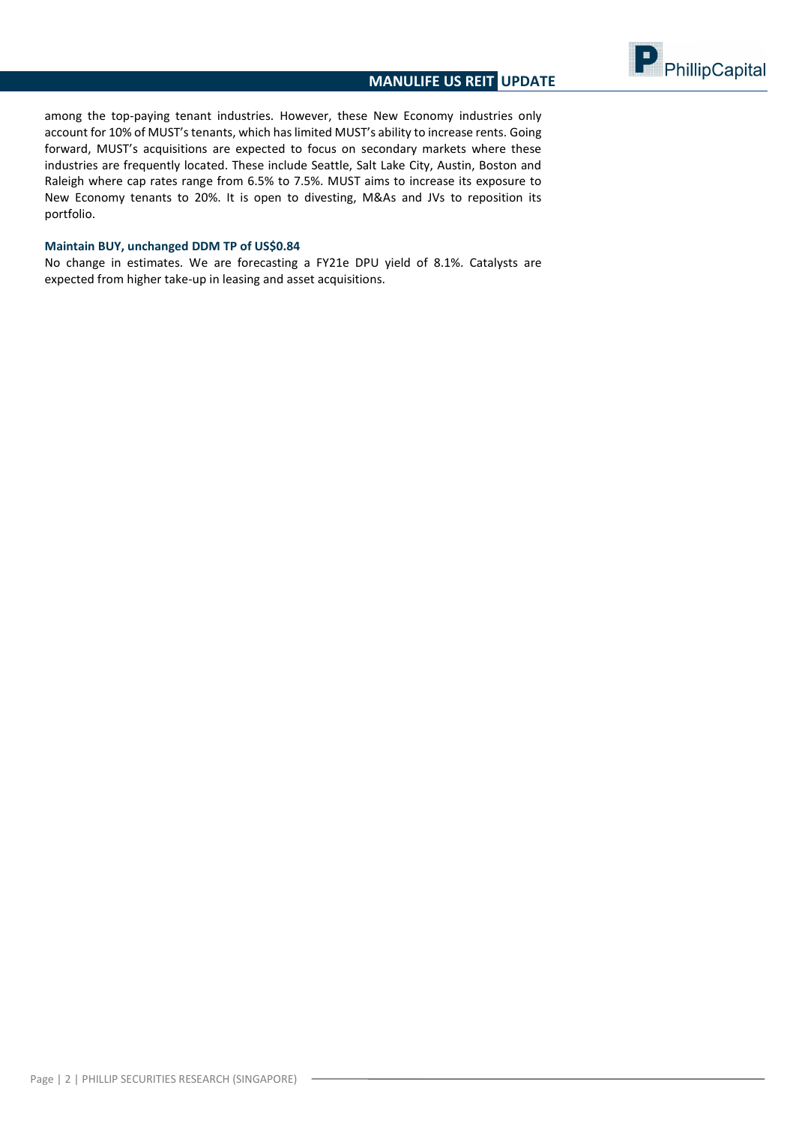

among the top-paying tenant industries. However, these New Economy industries only account for 10% of MUST's tenants, which has limited MUST's ability to increase rents. Going forward, MUST's acquisitions are expected to focus on secondary markets where these industries are frequently located. These include Seattle, Salt Lake City, Austin, Boston and Raleigh where cap rates range from 6.5% to 7.5%. MUST aims to increase its exposure to New Economy tenants to 20%. It is open to divesting, M&As and JVs to reposition its portfolio.

# **Maintain BUY, unchanged DDM TP of US\$0.84**

No change in estimates. We are forecasting a FY21e DPU yield of 8.1%. Catalysts are expected from higher take-up in leasing and asset acquisitions.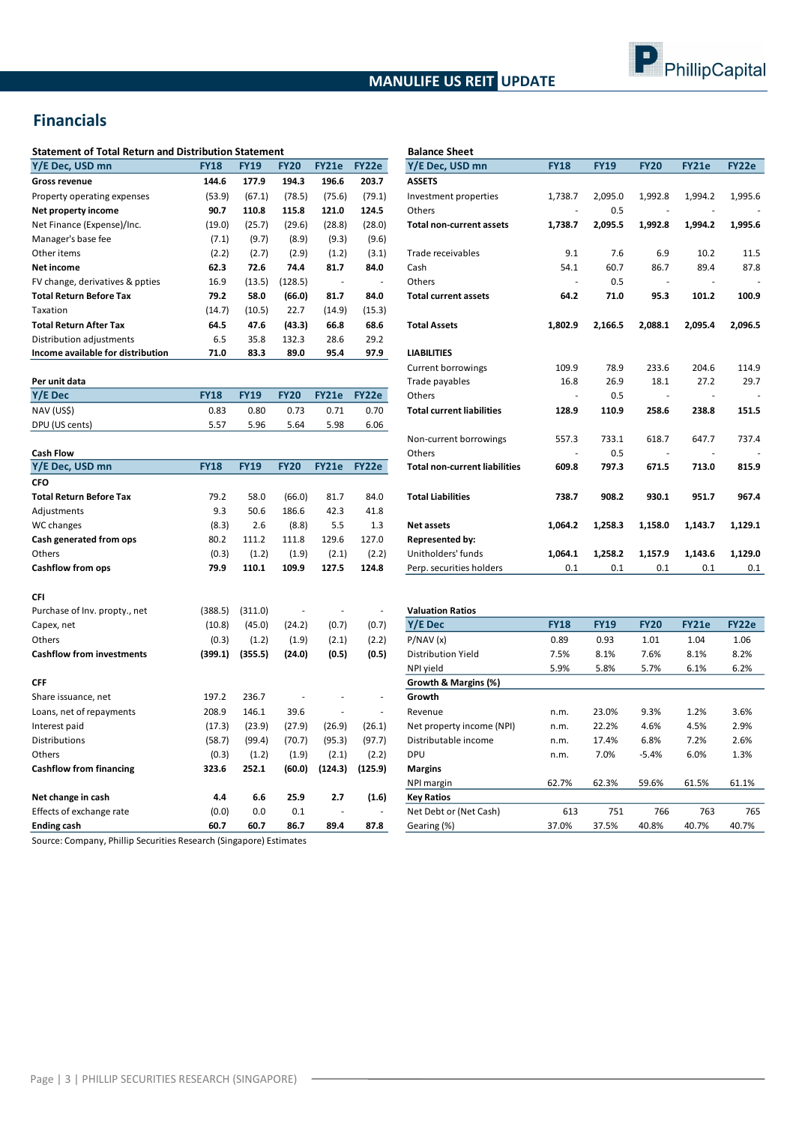# **MANULIFE US REIT UPDATE**



# **Financials**

| <b>Statement of Total Return and Distribution Statement</b> |             |             |             |        |        | <b>Balance Sheet</b>            |             |             |             |              |         |
|-------------------------------------------------------------|-------------|-------------|-------------|--------|--------|---------------------------------|-------------|-------------|-------------|--------------|---------|
| Y/E Dec, USD mn                                             | <b>FY18</b> | <b>FY19</b> | <b>FY20</b> | FY21e  | FY22e  | Y/E Dec, USD mn                 | <b>FY18</b> | <b>FY19</b> | <b>FY20</b> | <b>FY21e</b> | FY22e   |
| Gross revenue                                               | 144.6       | 177.9       | 194.3       | 196.6  | 203.7  | <b>ASSETS</b>                   |             |             |             |              |         |
| Property operating expenses                                 | (53.9)      | (67.1)      | (78.5)      | (75.6) | (79.1) | Investment properties           | 1.738.7     | 2,095.0     | 1,992.8     | 1,994.2      | 1,995.6 |
| Net property income                                         | 90.7        | 110.8       | 115.8       | 121.0  | 124.5  | Others                          |             | 0.5         |             |              |         |
| Net Finance (Expense)/Inc.                                  | (19.0)      | (25.7)      | (29.6)      | (28.8) | (28.0) | <b>Total non-current assets</b> | 1,738.7     | 2,095.5     | 1,992.8     | 1,994.2      | 1,995.6 |
| Manager's base fee                                          | (7.1)       | (9.7)       | (8.9)       | (9.3)  | (9.6)  |                                 |             |             |             |              |         |
| Other items                                                 | (2.2)       | (2.7)       | (2.9)       | (1.2)  | (3.1)  | Trade receivables               | 9.1         | 7.6         | 6.9         | 10.2         | 11.5    |
| Net income                                                  | 62.3        | 72.6        | 74.4        | 81.7   | 84.0   | Cash                            | 54.1        | 60.7        | 86.7        | 89.4         | 87.8    |
| FV change, derivatives & ppties                             | 16.9        | (13.5)      | (128.5)     |        |        | Others                          |             | 0.5         |             |              |         |
| Total Return Before Tax                                     | 79.2        | 58.0        | (66.0)      | 81.7   | 84.0   | <b>Total current assets</b>     | 64.2        | 71.0        | 95.3        | 101.2        | 100.9   |
| Taxation                                                    | (14.7)      | (10.5)      | 22.7        | (14.9) | (15.3) |                                 |             |             |             |              |         |
| Total Return After Tax                                      | 64.5        | 47.6        | (43.3)      | 66.8   | 68.6   | <b>Total Assets</b>             | 1,802.9     | 2,166.5     | 2,088.1     | 2,095.4      | 2,096.5 |
| Distribution adjustments                                    | 6.5         | 35.8        | 132.3       | 28.6   | 29.2   |                                 |             |             |             |              |         |
| Income available for distribution                           | 71.0        | 83.3        | 89.0        | 95.4   | 97.9   | <b>LIABILITIES</b>              |             |             |             |              |         |
|                                                             |             |             |             |        |        |                                 |             |             |             |              |         |

| Per unit data  |             |             |             |       |       |
|----------------|-------------|-------------|-------------|-------|-------|
| Y/E Dec        | <b>FY18</b> | <b>FY19</b> | <b>FY20</b> | FY21e | FY22e |
| NAV (US\$)     | 0.83        | 0.80        | 0.73        | 0.71  | 0.70  |
| DPU (US cents) | 5.57        | 5.96        | 5.64        | 5.98  | 6.06  |

| <b>Cash Flow</b>                 |             |             |             |              |              | Others                               |             | 0.5         |             |              |              |
|----------------------------------|-------------|-------------|-------------|--------------|--------------|--------------------------------------|-------------|-------------|-------------|--------------|--------------|
| Y/E Dec, USD mn                  | <b>FY18</b> | <b>FY19</b> | <b>FY20</b> | <b>FY21e</b> | <b>FY22e</b> | <b>Total non-current liabilities</b> | 609.8       | 797.3       | 671.5       | 713.0        | 815.9        |
| <b>CFO</b>                       |             |             |             |              |              |                                      |             |             |             |              |              |
| <b>Total Return Before Tax</b>   | 79.2        | 58.0        | (66.0)      | 81.7         | 84.0         | <b>Total Liabilities</b>             | 738.7       | 908.2       | 930.1       | 951.7        | 967.4        |
| Adjustments                      | 9.3         | 50.6        | 186.6       | 42.3         | 41.8         |                                      |             |             |             |              |              |
| WC changes                       | (8.3)       | 2.6         | (8.8)       | 5.5          | 1.3          | <b>Net assets</b>                    | 1,064.2     | 1,258.3     | 1,158.0     | 1,143.7      | 1,129.1      |
| Cash generated from ops          | 80.2        | 111.2       | 111.8       | 129.6        | 127.0        | <b>Represented by:</b>               |             |             |             |              |              |
| Others                           | (0.3)       | (1.2)       | (1.9)       | (2.1)        | (2.2)        | Unitholders' funds                   | 1,064.1     | 1,258.2     | 1,157.9     | 1,143.6      | 1,129.0      |
| <b>Cashflow from ops</b>         | 79.9        | 110.1       | 109.9       | 127.5        | 124.8        | Perp. securities holders             | 0.1         | 0.1         | 0.1         | 0.1          | 0.1          |
| CFI                              |             |             |             |              |              |                                      |             |             |             |              |              |
| Purchase of Inv. propty., net    | (388.5)     | (311.0)     |             |              |              | <b>Valuation Ratios</b>              |             |             |             |              |              |
| Capex, net                       | (10.8)      | (45.0)      | (24.2)      | (0.7)        | (0.7)        | Y/E Dec                              | <b>FY18</b> | <b>FY19</b> | <b>FY20</b> | <b>FY21e</b> | <b>FY22e</b> |
| Others                           | (0.3)       | (1.2)       | (1.9)       | (2.1)        | (2.2)        | P/NAV(x)                             | 0.89        | 0.93        | 1.01        | 1.04         | 1.06         |
| <b>Cashflow from investments</b> | (399.1)     | (355.5)     | (24.0)      | (0.5)        | (0.5)        | <b>Distribution Yield</b>            | 7.5%        | 8.1%        | 7.6%        | 8.1%         | 8.2%         |
|                                  |             |             |             |              |              | NPI yield                            | 5.9%        | 5.8%        | 5.7%        | 6.1%         | 6.2%         |
| <b>CFF</b>                       |             |             |             |              |              | Growth & Margins (%)                 |             |             |             |              |              |
| Share issuance, net              | 197.2       | 236.7       |             |              |              | Growth                               |             |             |             |              |              |
| Loans, net of repayments         | 208.9       | 146.1       | 39.6        |              | ٠            | Revenue                              | n.m.        | 23.0%       | 9.3%        | 1.2%         | 3.6%         |
| Interest paid                    | (17.3)      | (23.9)      | (27.9)      | (26.9)       | (26.1)       | Net property income (NPI)            | n.m.        | 22.2%       | 4.6%        | 4.5%         | 2.9%         |
| <b>Distributions</b>             | (58.7)      | (99.4)      | (70.7)      | (95.3)       | (97.7)       | Distributable income                 | n.m.        | 17.4%       | 6.8%        | 7.2%         | 2.6%         |
| Others                           | (0.3)       | (1.2)       | (1.9)       | (2.1)        | (2.2)        | <b>DPU</b>                           | n.m.        | 7.0%        | $-5.4%$     | 6.0%         | 1.3%         |
| <b>Cashflow from financing</b>   | 323.6       | 252.1       | (60.0)      | (124.3)      | (125.9)      | <b>Margins</b>                       |             |             |             |              |              |
|                                  |             |             |             |              |              | NPI margin                           | 62.7%       | 62.3%       | 59.6%       | 61.5%        | 61.1%        |
| Net change in cash               | 4.4         | 6.6         | 25.9        | 2.7          | (1.6)        | <b>Key Ratios</b>                    |             |             |             |              |              |
| Effects of exchange rate         | (0.0)       | 0.0         | 0.1         |              |              | Net Debt or (Net Cash)               | 613         | 751         | 766         | 763          | 765          |
| <b>Ending cash</b>               | 60.7        | 60.7        | 86.7        | 89.4         | 87.8         | Gearing (%)                          | 37.0%       | 37.5%       | 40.8%       | 40.7%        | 40.7%        |
|                                  |             |             |             |              |              |                                      |             |             |             |              |              |

Source: Company, Phillip Securities Research (Singapore) Estimates

| Statement of Total Return and Distribution Statement |             |             |             |              |        | <b>Balance Sheet</b>                 |             |             |                          |              |         |
|------------------------------------------------------|-------------|-------------|-------------|--------------|--------|--------------------------------------|-------------|-------------|--------------------------|--------------|---------|
| Y/E Dec, USD mn                                      | <b>FY18</b> | <b>FY19</b> | <b>FY20</b> | <b>FY21e</b> | FY22e  | Y/E Dec, USD mn                      | <b>FY18</b> | <b>FY19</b> | <b>FY20</b>              | <b>FY21e</b> | FY22e   |
| Gross revenue                                        | 144.6       | 177.9       | 194.3       | 196.6        | 203.7  | <b>ASSETS</b>                        |             |             |                          |              |         |
| Property operating expenses                          | (53.9)      | (67.1)      | (78.5)      | (75.6)       | (79.1) | Investment properties                | 1,738.7     | 2,095.0     | 1,992.8                  | 1,994.2      | 1,995.6 |
| Net property income                                  | 90.7        | 110.8       | 115.8       | 121.0        | 124.5  | Others                               |             | 0.5         |                          |              |         |
| Net Finance (Expense)/Inc.                           | (19.0)      | (25.7)      | (29.6)      | (28.8)       | (28.0) | <b>Total non-current assets</b>      | 1,738.7     | 2,095.5     | 1,992.8                  | 1,994.2      | 1,995.6 |
| Manager's base fee                                   | (7.1)       | (9.7)       | (8.9)       | (9.3)        | (9.6)  |                                      |             |             |                          |              |         |
| Other items                                          | (2.2)       | (2.7)       | (2.9)       | (1.2)        | (3.1)  | Trade receivables                    | 9.1         | 7.6         | 6.9                      | 10.2         | 11.5    |
| Net income                                           | 62.3        | 72.6        | 74.4        | 81.7         | 84.0   | Cash                                 | 54.1        | 60.7        | 86.7                     | 89.4         | 87.8    |
| FV change, derivatives & ppties                      | 16.9        | (13.5)      | (128.5)     |              |        | Others                               |             | 0.5         |                          |              |         |
| Total Return Before Tax                              | 79.2        | 58.0        | (66.0)      | 81.7         | 84.0   | <b>Total current assets</b>          | 64.2        | 71.0        | 95.3                     | 101.2        | 100.9   |
| Taxation                                             | (14.7)      | (10.5)      | 22.7        | (14.9)       | (15.3) |                                      |             |             |                          |              |         |
| <b>Total Return After Tax</b>                        | 64.5        | 47.6        | (43.3)      | 66.8         | 68.6   | <b>Total Assets</b>                  | 1,802.9     | 2,166.5     | 2,088.1                  | 2,095.4      | 2,096.5 |
| Distribution adjustments                             | 6.5         | 35.8        | 132.3       | 28.6         | 29.2   |                                      |             |             |                          |              |         |
| Income available for distribution                    | 71.0        | 83.3        | 89.0        | 95.4         | 97.9   | <b>LIABILITIES</b>                   |             |             |                          |              |         |
|                                                      |             |             |             |              |        | Current borrowings                   | 109.9       | 78.9        | 233.6                    | 204.6        | 114.9   |
| Per unit data                                        |             |             |             |              |        | Trade payables                       | 16.8        | 26.9        | 18.1                     | 27.2         | 29.7    |
| <b>Y/E</b> Dec                                       | <b>FY18</b> | <b>FY19</b> | <b>FY20</b> | <b>FY21e</b> | FY22e  | Others                               |             | 0.5         |                          |              |         |
| NAV (US\$)                                           | 0.83        | 0.80        | 0.73        | 0.71         | 0.70   | <b>Total current liabilities</b>     | 128.9       | 110.9       | 258.6                    | 238.8        | 151.5   |
| DPU (US cents)                                       | 5.57        | 5.96        | 5.64        | 5.98         | 6.06   |                                      |             |             |                          |              |         |
|                                                      |             |             |             |              |        | Non-current borrowings               | 557.3       | 733.1       | 618.7                    | 647.7        | 737.4   |
| <b>Cash Flow</b>                                     |             |             |             |              |        | Others                               |             | 0.5         | $\overline{\phantom{a}}$ |              |         |
| Y/E Dec. USD mn                                      | <b>FY18</b> | <b>FY19</b> | <b>FY20</b> | <b>FY21e</b> | FY22e  | <b>Total non-current liabilities</b> | 609.8       | 797.3       | 671.5                    | 713.0        | 815.9   |
| <b>CFO</b>                                           |             |             |             |              |        |                                      |             |             |                          |              |         |
| <b>Total Return Before Tax</b>                       | 79.2        | 58.0        | (66.0)      | 81.7         | 84.0   | <b>Total Liabilities</b>             | 738.7       | 908.2       | 930.1                    | 951.7        | 967.4   |
| Adjustments                                          | 9.3         | 50.6        | 186.6       | 42.3         | 41.8   |                                      |             |             |                          |              |         |
| WC changes                                           | (8.3)       | 2.6         | (8.8)       | 5.5          | 1.3    | <b>Net assets</b>                    | 1.064.2     | 1,258.3     | 1,158.0                  | 1,143.7      | 1,129.1 |
| Cash generated from ops                              | 80.2        | 111.2       | 111.8       | 129.6        | 127.0  | <b>Represented by:</b>               |             |             |                          |              |         |
| Others                                               | (0.3)       | (1.2)       | (1.9)       | (2.1)        | (2.2)  | Unitholders' funds                   | 1,064.1     | 1,258.2     | 1,157.9                  | 1,143.6      | 1,129.0 |
| Cashflow from ops                                    | 79.9        | 110.1       | 109.9       | 127.5        | 124.8  | Perp. securities holders             | 0.1         | 0.1         | 0.1                      | 0.1          | 0.1     |

| <b>Valuation Ratios</b>   |             |             |             |              |       |
|---------------------------|-------------|-------------|-------------|--------------|-------|
| <b>Y/E</b> Dec            | <b>FY18</b> | <b>FY19</b> | <b>FY20</b> | <b>FY21e</b> | FY22e |
| P/NAV(x)                  | 0.89        | 0.93        | 1.01        | 1.04         | 1.06  |
| <b>Distribution Yield</b> | 7.5%        | 8.1%        | 7.6%        | 8.1%         | 8.2%  |
| NPI yield                 | 5.9%        | 5.8%        | 5.7%        | 6.1%         | 6.2%  |
| Growth & Margins (%)      |             |             |             |              |       |
| Growth                    |             |             |             |              |       |
| Revenue                   | n.m.        | 23.0%       | 9.3%        | 1.2%         | 3.6%  |
| Net property income (NPI) | n.m.        | 22.2%       | 4.6%        | 4.5%         | 2.9%  |
| Distributable income      | n.m.        | 17.4%       | 6.8%        | 7.2%         | 2.6%  |
| <b>DPU</b>                | n.m.        | 7.0%        | $-5.4%$     | 6.0%         | 1.3%  |
| <b>Margins</b>            |             |             |             |              |       |
| NPI margin                | 62.7%       | 62.3%       | 59.6%       | 61.5%        | 61.1% |
| <b>Key Ratios</b>         |             |             |             |              |       |
| Net Debt or (Net Cash)    | 613         | 751         | 766         | 763          | 765   |
| Gearing (%)               | 37.0%       | 37.5%       | 40.8%       | 40.7%        | 40.7% |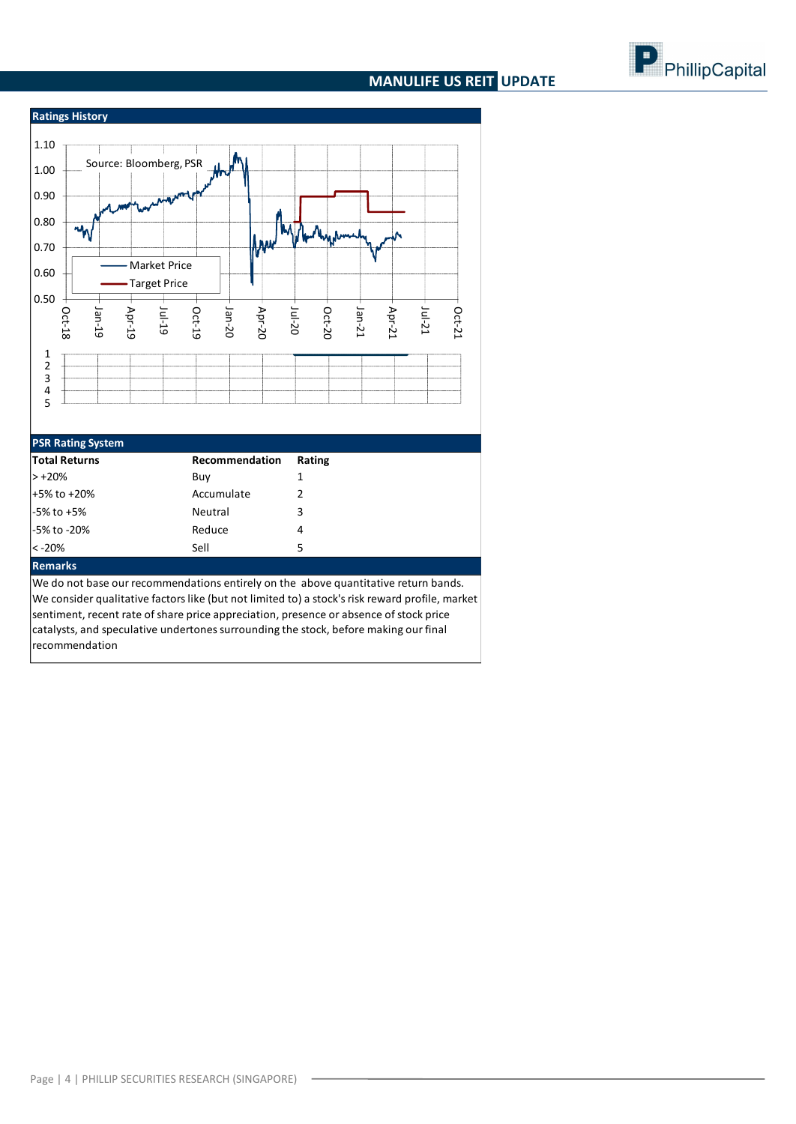# **MANULIFE US REIT UPDATE**





#### **PSR Rating System**

| <b>Total Returns</b> | Recommendation | Rating |
|----------------------|----------------|--------|
| $> +20%$             | Buy            |        |
| $+5\%$ to $+20\%$    | Accumulate     |        |
| $-5\%$ to $+5\%$     | Neutral        | 3      |
| -5% to -20%          | Reduce         | 4      |
| $ < -20\%$           | Sell           | 5      |
| <b>Service State</b> |                |        |

#### **Remarks**

We do not base our recommendations entirely on the above quantitative return bands. We consider qualitative factors like (but not limited to) a stock's risk reward profile, market sentiment, recent rate of share price appreciation, presence or absence of stock price catalysts, and speculative undertones surrounding the stock, before making our final recommendation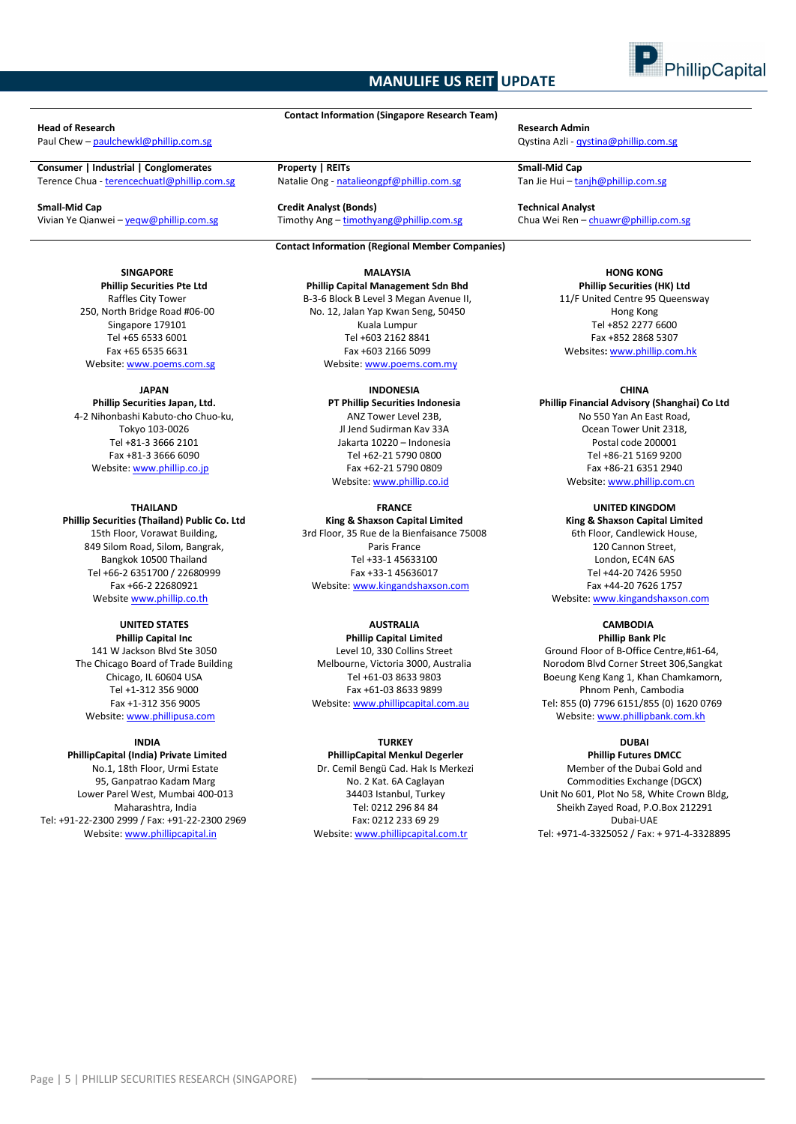# **MANULIFE US REIT UPDATE**



#### **Head of Research Research Admin**

Paul Chew – [paulchewkl@phillip.com.sg](mailto:paulchewkl@phillip.com.sg) Qystina Azli - [qystina@phillip.com.sg](mailto:qystina@phillip.com.sg)

**Consumer | Industrial | Conglomerates Property | REITs Small-Mid Cap** Terence Chua - terencechuatl@phillip.com.sg

**Small-Mid Cap Credit Analyst (Bonds) Technical Analyst** Vivian Ye Qianwei – yeqw@phillip.com.sg Timothy Ang – timothyang@phillip.com.sg Chua Wei Ren – chuawr@phillip.com.sg

#### **SINGAPORE Phillip Securities Pte Ltd** Raffles City Tower

250, North Bridge Road #06-00 Singapore 179101 Tel +65 6533 6001 Fax +65 6535 6631 Website: www.poems.com.sg

#### **JAPAN**

**Phillip Securities Japan, Ltd.** 4-2 Nihonbashi Kabuto-cho Chuo-ku, Tokyo 103-0026 Tel +81-3 3666 2101 Fax +81-3 3666 6090 Website[: www.phillip.co.jp](http://www.phillip.co.jp/)

#### **THAILAND**

**Phillip Securities (Thailand) Public Co. Ltd** 15th Floor, Vorawat Building, 849 Silom Road, Silom, Bangrak, Bangkok 10500 Thailand Tel +66-2 6351700 / 22680999 Fax +66-2 22680921 Website [www.phillip.co.th](http://www.phillip.co.th/)

# **UNITED STATES**

**Phillip Capital Inc** 141 W Jackson Blvd Ste 3050 The Chicago Board of Trade Building Chicago, IL 60604 USA Tel +1-312 356 9000 Fax +1-312 356 9005 Website[: www.phillipusa.com](http://www.phillipusa.com/)

#### **INDIA**

**PhillipCapital (India) Private Limited** No.1, 18th Floor, Urmi Estate 95, Ganpatrao Kadam Marg Lower Parel West, Mumbai 400-013 Maharashtra, India Tel: +91-22-2300 2999 / Fax: +91-22-2300 2969 Website[: www.phillipcapital.in](http://www.phillipcapital.in/)

**Contact Information (Singapore Research Team)**

#### **Contact Information (Regional Member Companies)**

**MALAYSIA Phillip Capital Management Sdn Bhd** B-3-6 Block B Level 3 Megan Avenue II, No. 12, Jalan Yap Kwan Seng, 50450 Kuala Lumpur Tel +603 2162 8841 Fax +603 2166 5099 Website[: www.poems.com.my](http://www.poems.com.my/)

> **INDONESIA PT Phillip Securities Indonesia**

ANZ Tower Level 23B, Jl Jend Sudirman Kav 33A Jakarta 10220 – Indonesia Tel +62-21 5790 0800 Fax +62-21 5790 0809 Website: [www.phillip.co.id](http://www.phillip.co.id/)

# **FRANCE**

**King & Shaxson Capital Limited** 3rd Floor, 35 Rue de la Bienfaisance 75008 Paris France Tel +33-1 45633100 Fax +33-1 45636017 Website[: www.kingandshaxson.com](http://www.kingandshaxson.com/)

### **AUSTRALIA**

**Phillip Capital Limited** Level 10, 330 Collins Street Melbourne, Victoria 3000, Australia Tel +61-03 8633 9803 Fax +61-03 8633 9899 Website[: www.phillipcapital.com.au](http://www.phillipcapital.com.au/)

#### **TURKEY**

**PhillipCapital Menkul Degerler** Dr. Cemil Bengü Cad. Hak Is Merkezi No. 2 Kat. 6A Caglayan 34403 Istanbul, Turkey Tel: 0212 296 84 84 Fax: 0212 233 69 29 Website[: www.phillipcapital.com.tr](http://www.phillipcapital.com.tr/)

**HONG KONG Phillip Securities (HK) Ltd** 11/F United Centre 95 Queensway Hong Kong Tel +852 2277 6600 Fax +852 2868 5307 Websites**:** [www.phillip.com.hk](http://www.phillip.com.hk/)

#### **CHINA**

**Phillip Financial Advisory (Shanghai) Co Ltd** No 550 Yan An East Road, Ocean Tower Unit 2318, Postal code 200001 Tel +86-21 5169 9200 Fax +86-21 6351 2940 Website[: www.phillip.com.cn](http://www.phillip.com.cn/)

> **UNITED KINGDOM King & Shaxson Capital Limited** 6th Floor, Candlewick House, 120 Cannon Street, London, EC4N 6AS Tel +44-20 7426 5950

Fax +44-20 7626 1757 Website[: www.kingandshaxson.com](http://www.kingandshaxson.com/)

#### **CAMBODIA Phillip Bank Plc**

Ground Floor of B-Office Centre,#61-64, Norodom Blvd Corner Street 306,Sangkat Boeung Keng Kang 1, Khan Chamkamorn, Phnom Penh, Cambodia Tel: 855 (0) 7796 6151/855 (0) 1620 0769 Website[: www.phillipbank.com.kh](http://www.phillipbank.com.kh/)

#### **DUBAI**

**Phillip Futures DMCC** Member of the Dubai Gold and Commodities Exchange (DGCX) Unit No 601, Plot No 58, White Crown Bldg, Sheikh Zayed Road, P.O.Box 212291 Dubai-UAE Tel: +971-4-3325052 / Fax: + 971-4-3328895